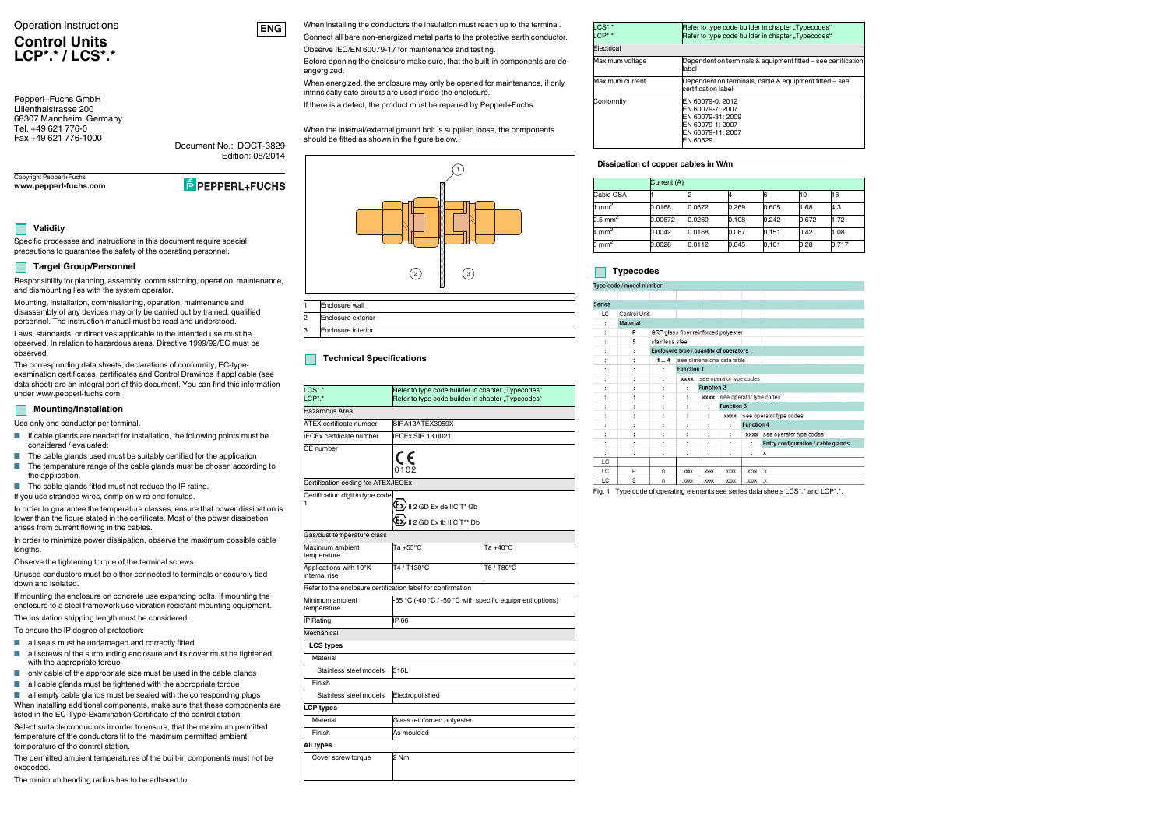#### Operation Instructions

# **Control UnitsLCP\*.\* / LCS\*.\***

Copyright Pepperl+Fuchs **www.pepperl-fuchs.com**

**E** PEPPERL+FUCHS

Document No.: DOCT-3829

Edition: 08/2014

Pepperl+Fuchs GmbH Lilienthalstrasse 200 68307 Mannheim, Germany Tel. +49 621 776-0Fax +49 621 776-1000



# **Validity**

Specific processes and instructions in this document require special precautions to guarantee the safety of the operating personnel.

#### **Target Group/Personnel**

Responsibility for planning, assembly, commissioning, operation, maintenance, and dismounting lies with the system operator.

Mounting, installation, commissioning, operation, maintenance and disassembly of any devices may only be carried out by trained, qualified personnel. The instruction manual must be read and understood.

Laws, standards, or directives applicable to the intended use must be observed. In relation to hazardous areas, Directive 1999/92/EC must be observed.

The corresponding data sheets, declarations of conformity, EC-typeexamination certificates, certificates and Control Drawings if applicable (see data sheet) are an integral part of this document. You can find this information under www.pepperl-fuchs.com.

#### **Mounting/Installation**

Use only one conductor per terminal.

- If cable glands are needed for installation, the following points must be considered / evaluated:
- The cable glands used must be suitably certified for the application
- The temperature range of the cable glands must be chosen according to the application.
- The cable glands fitted must not reduce the IP rating.
- If you use stranded wires, crimp on wire end ferrules.

■ all empty cable glands must be sealed with the corresponding plugs When installing additional components, make sure that these components are listed in the EC-Type-Examination Certificate of the control station.

In order to guarantee the temperature classes, ensure that power dissipation is lower than the figure stated in the certificate. Most of the power dissipation arises from current flowing in the cables.

When energized, the enclosure may only be opened for maintenance, if only intrinsically safe circuits are used inside the enclosure.

In order to minimize power dissipation, observe the maximum possible cable lengths.

Observe the tightening torque of the terminal screws.

Unused conductors must be either connected to terminals or securely tied down and isolated.

If mounting the enclosure on concrete use expanding bolts. If mounting the enclosure to a steel framework use vibration resistant mounting equipment.

The insulation stripping length must be considered. To ensure the IP degree of protection:

■ all seals must be undamaged and correctly fitted

- all screws of the surrounding enclosure and its cover must be tightened with the appropriate torque
- only cable of the appropriate size must be used in the cable glands
- all cable glands must be tightened with the appropriate torque

Select suitable conductors in order to ensure, that the maximum permitted temperature of the conductors fit to the maximum permitted ambient temperature of the control station.

The permitted ambient temperatures of the built-in components must not be exceeded.

The minimum bending radius has to be adhered to.

When installing the conductors the insulation must reach up to the terminal. Connect all bare non-energized metal parts to the protective earth conductor.

Observe IEC/EN 60079-17 for maintenance and testing.

Before opening the enclosure make sure, that the built-in components are deengergized.

If there is a defect, the product must be repaired by Pepperl+Fuchs.

When the internal/external ground bolt is supplied loose, the components should be fitted as shown in the figure below.

| Enclosure wall            |
|---------------------------|
| Enclosure exterior        |
| <b>Enclosure interior</b> |

## **Technical Specifications**

| $CS^*$ .*<br>$LCP^*$ .*                                     | Refer to type code builder in chapter "Typecodes"<br>Refer to type code builder in chapter "Typecodes" |                    |  |  |  |  |  |
|-------------------------------------------------------------|--------------------------------------------------------------------------------------------------------|--------------------|--|--|--|--|--|
| Hazardous Area                                              |                                                                                                        |                    |  |  |  |  |  |
| <b>ATEX</b> certificate number                              | SIRA13ATEX3059X                                                                                        |                    |  |  |  |  |  |
| <b>ECEx certificate number</b>                              | ECEx SIR 13.0021                                                                                       |                    |  |  |  |  |  |
| CE number                                                   | CE<br>0102                                                                                             |                    |  |  |  |  |  |
| Certification coding for ATEX/IECEx                         |                                                                                                        |                    |  |  |  |  |  |
| Certification digit in type code                            | $\langle \Sigma x \rangle$ II 2 GD Ex de IIC T* Gb<br>II 2 GD Ex tb IIIC T** Db                        |                    |  |  |  |  |  |
| Gas/dust temperature class                                  |                                                                                                        |                    |  |  |  |  |  |
| Maximum ambient<br>temperature                              | Ta +55°C                                                                                               | Ta $+40^{\circ}$ C |  |  |  |  |  |
| Applications with 10°K<br>internal rise                     | T4 / T130°C                                                                                            | T6 / T80°C         |  |  |  |  |  |
| Refer to the enclosure certification label for confirmation |                                                                                                        |                    |  |  |  |  |  |
| Minimum ambient<br>temperature                              | -35 °C (-40 °C / -50 °C with specific equipment options)                                               |                    |  |  |  |  |  |
| <b>IP Rating</b>                                            | IP 66                                                                                                  |                    |  |  |  |  |  |
| Mechanical                                                  |                                                                                                        |                    |  |  |  |  |  |
| <b>LCS types</b>                                            |                                                                                                        |                    |  |  |  |  |  |
| Material                                                    |                                                                                                        |                    |  |  |  |  |  |
| Stainless steel models                                      | 316L                                                                                                   |                    |  |  |  |  |  |
| Finish                                                      |                                                                                                        |                    |  |  |  |  |  |
| Stainless steel models                                      | Electropolished                                                                                        |                    |  |  |  |  |  |
| <b>LCP types</b>                                            |                                                                                                        |                    |  |  |  |  |  |
| Material                                                    | Glass reinforced polyester                                                                             |                    |  |  |  |  |  |
| Finish                                                      | As moulded                                                                                             |                    |  |  |  |  |  |
| All types                                                   |                                                                                                        |                    |  |  |  |  |  |
| Cover screw torque                                          | 2 Nm                                                                                                   |                    |  |  |  |  |  |



#### **Dissipation of copper cables in W/m**

## **Typecodes**

#### Type code / model numb

| --            |                 |                      |                                        |             |                              |                   |                                    |  |
|---------------|-----------------|----------------------|----------------------------------------|-------------|------------------------------|-------------------|------------------------------------|--|
|               |                 |                      |                                        |             |                              |                   |                                    |  |
| <b>Series</b> |                 |                      |                                        |             |                              |                   |                                    |  |
| <b>LC</b>     | Control Unit    |                      |                                        |             |                              |                   |                                    |  |
| ÷,            | <b>Material</b> |                      |                                        |             |                              |                   |                                    |  |
|               | P               |                      | GRP glass fiber reinforced polyester   |             |                              |                   |                                    |  |
| ፡             | $\mathbf{s}$    | stainless steel      |                                        |             |                              |                   |                                    |  |
|               | ÷               |                      | Enclosure type / quantity of operators |             |                              |                   |                                    |  |
|               | ÷               | 14                   |                                        |             | see dimensions data table    |                   |                                    |  |
|               | ፡               | ÷                    | <b>Function 1</b>                      |             |                              |                   |                                    |  |
| ÷             | ÷               | ÷                    | <b>XXXX</b>                            |             | see operator type codes      |                   |                                    |  |
|               | ٠<br>٠          | $\ddot{\phantom{0}}$ | ÷                                      |             | <b>Function 2</b>            |                   |                                    |  |
| ٠             | ÷               | ÷                    | ÷                                      |             | xxxx see operator type codes |                   |                                    |  |
|               |                 | ÷                    | ÷                                      | ÷           | <b>Function 3</b>            |                   |                                    |  |
| ÷             | ÷               | ÷                    | ÷                                      | ÷           | <b>XXXX</b>                  |                   | see operator type codes            |  |
| ٠             | ×.<br>×.        | ÷                    | ÷                                      | ÷           | $\ddot{\phantom{a}}$         | <b>Function 4</b> |                                    |  |
| ÷             | ÷               | ÷                    | ÷                                      | ÷,          | ÷                            | <b>XXXX</b>       | see operator type codes            |  |
|               | ٠.              | ٠                    | ٠<br>٠                                 | ٠           | ÷                            | Ð                 | Entry configuration / cable glands |  |
| ÷.            | ÷               | ÷                    | ÷                                      | ÷           | ÷                            | ţ.                | X                                  |  |
| LC.           |                 |                      |                                        |             |                              |                   |                                    |  |
| LC            | P               | $\mathsf{n}$         | <b>XXXX</b>                            | <b>XXXX</b> | <b>XXXX</b>                  | <b>XXXX</b>       | $\mathbf x$                        |  |
| LC            | S               | $\mathsf{n}$         | <b>XXXX</b>                            | <b>XXXX</b> | <b>XXXX</b>                  | <b>XXXX</b>       | $\mathbf x$                        |  |

Fig. 1 Type code of operating elements see series data sheets LCS\*.\* and LCP\*.\*.

| LCS*.*<br>$ICP^*$ | Refer to type code builder in chapter "Typecodes"<br>Refer to type code builder in chapter "Typecodes"         |
|-------------------|----------------------------------------------------------------------------------------------------------------|
| Electrical        |                                                                                                                |
| Maximum voltage   | Dependent on terminals & equipment fitted - see certification<br>label                                         |
| Maximum current   | Dependent on terminals, cable & equipment fitted – see<br>certification label                                  |
| Conformity        | EN 60079-0: 2012<br>EN 60079-7: 2007<br>EN 60079-31: 2009<br>EN 60079-1: 2007<br>EN 60079-11: 2007<br>EN 60529 |

|                   | Current (A) |        |       |       |       |       |  |
|-------------------|-------------|--------|-------|-------|-------|-------|--|
| Cable CSA         |             |        |       |       | 10    | 16    |  |
| 1 mm <sup>2</sup> | 0.0168      | 0.0672 | 0.269 | 0.605 | 1.68  | 4.3   |  |
| 2.5 mm $^2\,$     | 0.00672     | 0.0269 | 0.108 | 0.242 | 0.672 | 1.72  |  |
| 4 mm <sup>2</sup> | 0.0042      | 0.0168 | 0.067 | 0.151 | 0.42  | 1.08  |  |
| 6 mm <sup>2</sup> | 0.0028      | 0.0112 | 0.045 | 0.101 | 0.28  | 0.717 |  |